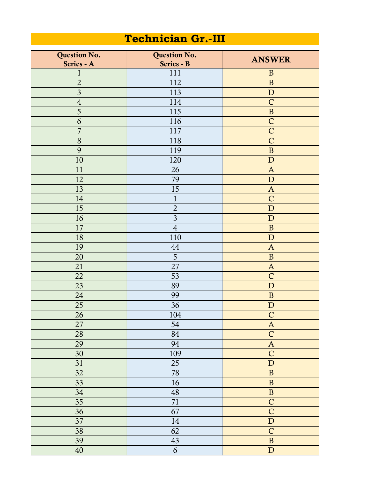## **Technician Gr.-III**

| Question No.            | Question No.     | <b>ANSWER</b>             |
|-------------------------|------------------|---------------------------|
| Series - A              | Series - B       |                           |
| $\mathbf{1}$            | 111              | $\mathbf B$               |
| $\overline{2}$          | 112              | $\, {\bf B}$              |
| $\overline{\mathbf{3}}$ | 113              | ${\bf D}$                 |
| $\overline{4}$          | 114              | $\mathsf{C}$              |
| $\overline{5}$          | 115              | $\, {\bf B}$              |
| 6                       | 116              | $\mathsf{C}$              |
| $\overline{7}$          | 117              | $\overline{C}$            |
| 8                       | 118              | $\mathsf{C}$              |
| 9                       | 119              | $\, {\bf B}$              |
| 10                      | 120              | ${\bf D}$                 |
| 11                      | 26               | $\mathbf{A}$              |
| 12                      | 79               | ${\bf D}$                 |
| 13                      | 15               | $\mathbf{A}$              |
| 14                      | $\mathbf{1}$     | $\mathsf{C}$              |
| 15                      | $\overline{2}$   | ${\bf D}$                 |
| 16                      | $\overline{3}$   | ${\bf D}$                 |
| 17                      | $\overline{4}$   | $\mathbf{B}$              |
| 18                      | 110              | ${\bf D}$                 |
| 19                      | 44               | $\mathbf{A}$              |
| 20                      | 5                | $\, {\bf B}$              |
| 21                      | 27               | $\boldsymbol{\mathsf{A}}$ |
| 22                      | 53               | $\mathsf C$               |
| 23                      | 89               | ${\bf D}$                 |
| 24                      | 99               | $\, {\bf B}$              |
| 25                      | 36               | ${\bf D}$                 |
| 26                      | 104              | $\mathsf C$               |
| $\overline{27}$         | 54               | $\mathbf{A}$              |
| 28                      | 84               | $\overline{C}$            |
| 29                      | 94               | $\mathbf A$               |
| 30                      | 109              | $\overline{C}$            |
| 31                      | 25               | $\mathbf D$               |
| 32                      | $78\,$           | $\, {\bf B}$              |
| 33                      | 16               | $\, {\bf B}$              |
| 34                      | $\sqrt{48}$      | $\overline{B}$            |
| 35                      | 71               | $\overline{C}$            |
| 36                      | 67               | $\overline{C}$            |
| 37                      | 14               | $\mathbf D$               |
| 38                      | 62               | $\overline{C}$            |
| 39                      | 43               | $\, {\bf B}$              |
| $40\,$                  | $\boldsymbol{6}$ | ${\bf D}$                 |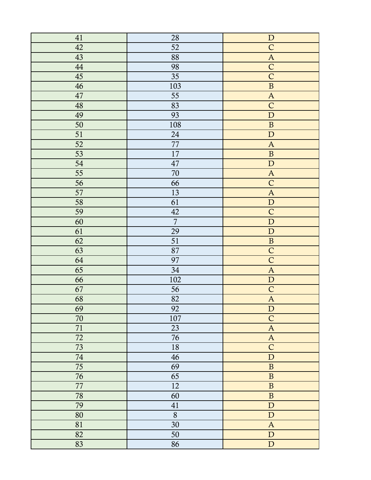| 41          | 28             | ${\bf D}$                 |
|-------------|----------------|---------------------------|
| 42          | 52             | $\overline{C}$            |
| 43          | 88             | $\boldsymbol{A}$          |
| $\sqrt{44}$ | 98             | $\overline{C}$            |
| 45          | 35             | $\overline{C}$            |
| 46          | 103            | $\, {\bf B}$              |
| $47\,$      | 55             | $\overline{A}$            |
| $\sqrt{48}$ | 83             | $\overline{C}$            |
| 49          | 93             | ${\bf D}$                 |
| 50          | 108            | $\, {\bf B}$              |
| 51          | 24             | $\mathbf D$               |
| 52          | $77\,$         | $\overline{A}$            |
| 53          | 17             | $\overline{\mathbf{B}}$   |
| 54          | $47\,$         | $\mathbf{D}$              |
| 55          | 70             | $\mathbf{A}$              |
| 56          | 66             | $\overline{C}$            |
| 57          | 13             | $\boldsymbol{\mathsf{A}}$ |
| 58          | 61             | ${\bf D}$                 |
| 59          | $42\,$         | $\overline{C}$            |
| 60          | $\overline{7}$ | ${\bf D}$                 |
| 61          | 29             | ${\bf D}$                 |
| 62          | 51             | $\, {\bf B}$              |
| 63          | 87             | $\overline{C}$            |
| 64          | 97             | $\overline{C}$            |
| 65          | 34             | $\mathbf{A}$              |
| 66          | 102            | $\overline{D}$            |
| 67          | 56             | $\mathsf{C}$              |
| 68          | 82             | $\mathbf{A}$              |
| 69          | 92             | $\mathbf D$               |
| 70          | 107            | $\overline{C}$            |
| 71          | 23             | $\mathbf{A}$              |
| 72          | $76\,$         | $\mathbf{A}$              |
| 73          | 18             | $\mathsf{C}$              |
| 74          | 46             | ${\bf D}$                 |
| 75          | 69             | $\, {\bf B}$              |
| 76          | 65             | $\, {\bf B}$              |
| $77\,$      | 12             | $\, {\bf B}$              |
| 78          | 60             | $\, {\bf B}$              |
| 79          | 41             | ${\bf D}$                 |
| 80          | $\overline{8}$ | ${\bf D}$                 |
| 81          | 30             | $\boldsymbol{\mathsf{A}}$ |
| 82          | $50\,$         | ${\bf D}$                 |
| 83          | 86             | ${\bf D}$                 |